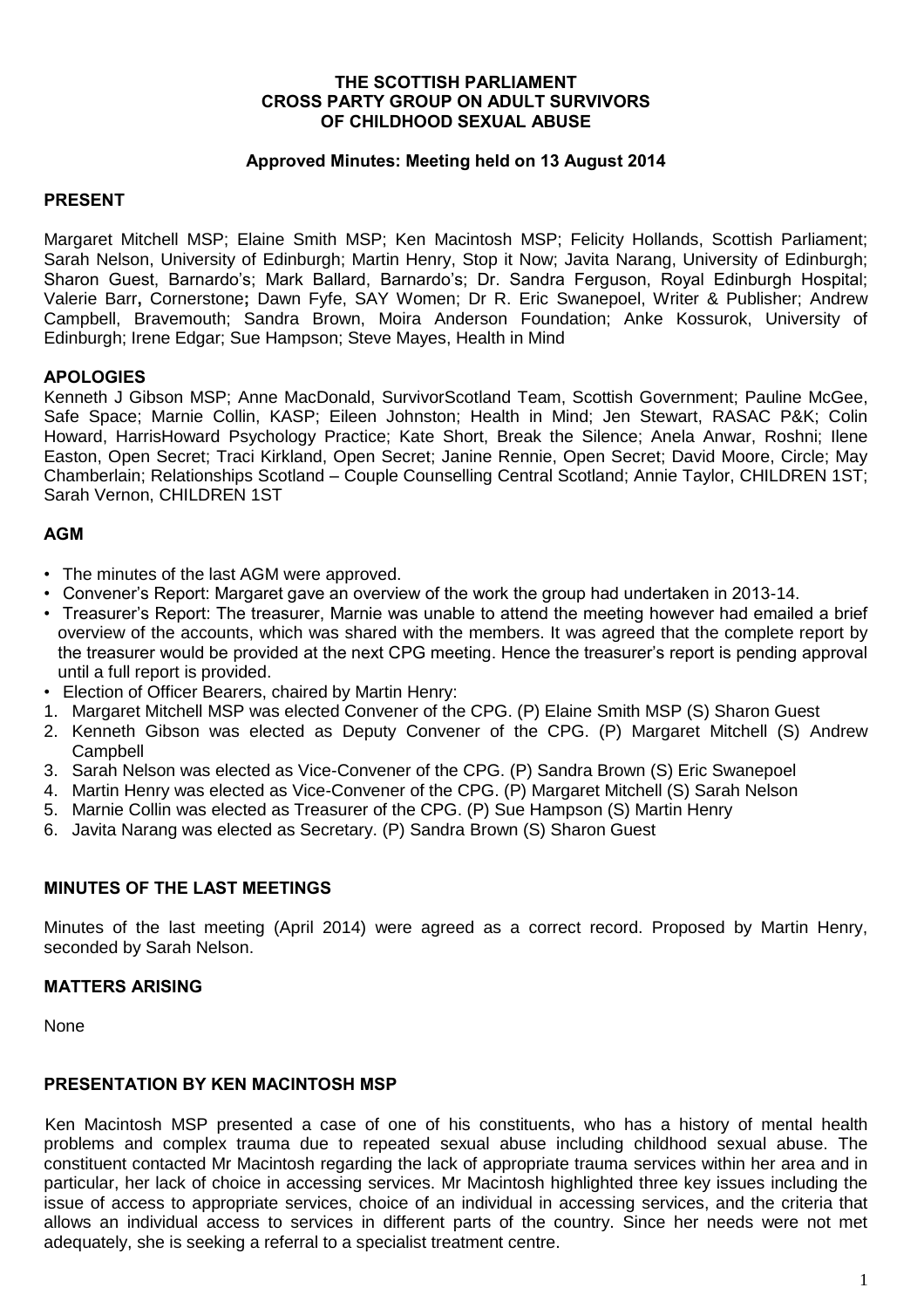#### **THE SCOTTISH PARLIAMENT CROSS PARTY GROUP ON ADULT SURVIVORS OF CHILDHOOD SEXUAL ABUSE**

#### **Approved Minutes: Meeting held on 13 August 2014**

### **PRESENT**

Margaret Mitchell MSP; Elaine Smith MSP; Ken Macintosh MSP; Felicity Hollands, Scottish Parliament; Sarah Nelson, University of Edinburgh; Martin Henry, Stop it Now; Javita Narang, University of Edinburgh; Sharon Guest, Barnardo's; Mark Ballard, Barnardo's; Dr. Sandra Ferguson, Royal Edinburgh Hospital; Valerie Barr**,** Cornerstone**;** Dawn Fyfe, SAY Women; Dr R. Eric Swanepoel, Writer & Publisher; Andrew Campbell, Bravemouth; Sandra Brown, Moira Anderson Foundation; Anke Kossurok, University of Edinburgh; Irene Edgar; Sue Hampson; Steve Mayes, Health in Mind

### **APOLOGIES**

Kenneth J Gibson MSP; Anne MacDonald, SurvivorScotland Team, Scottish Government; Pauline McGee, Safe Space; Marnie Collin, KASP; Eileen Johnston; Health in Mind; Jen Stewart, RASAC P&K; Colin Howard, HarrisHoward Psychology Practice; Kate Short, Break the Silence; Anela Anwar, Roshni; Ilene Easton, Open Secret; Traci Kirkland, Open Secret; Janine Rennie, Open Secret; David Moore, Circle; May Chamberlain; Relationships Scotland – Couple Counselling Central Scotland; Annie Taylor, CHILDREN 1ST; Sarah Vernon, CHILDREN 1ST

# **AGM**

- The minutes of the last AGM were approved.
- Convener's Report: Margaret gave an overview of the work the group had undertaken in 2013-14.
- Treasurer's Report: The treasurer, Marnie was unable to attend the meeting however had emailed a brief overview of the accounts, which was shared with the members. It was agreed that the complete report by the treasurer would be provided at the next CPG meeting. Hence the treasurer's report is pending approval until a full report is provided.
- Election of Officer Bearers, chaired by Martin Henry:
- 1. Margaret Mitchell MSP was elected Convener of the CPG. (P) Elaine Smith MSP (S) Sharon Guest
- 2. Kenneth Gibson was elected as Deputy Convener of the CPG. (P) Margaret Mitchell (S) Andrew **Campbell**
- 3. Sarah Nelson was elected as Vice-Convener of the CPG. (P) Sandra Brown (S) Eric Swanepoel
- 4. Martin Henry was elected as Vice-Convener of the CPG. (P) Margaret Mitchell (S) Sarah Nelson
- 5. Marnie Collin was elected as Treasurer of the CPG. (P) Sue Hampson (S) Martin Henry
- 6. Javita Narang was elected as Secretary. (P) Sandra Brown (S) Sharon Guest

### **MINUTES OF THE LAST MEETINGS**

Minutes of the last meeting (April 2014) were agreed as a correct record. Proposed by Martin Henry, seconded by Sarah Nelson.

### **MATTERS ARISING**

None

### **PRESENTATION BY KEN MACINTOSH MSP**

Ken Macintosh MSP presented a case of one of his constituents, who has a history of mental health problems and complex trauma due to repeated sexual abuse including childhood sexual abuse. The constituent contacted Mr Macintosh regarding the lack of appropriate trauma services within her area and in particular, her lack of choice in accessing services. Mr Macintosh highlighted three key issues including the issue of access to appropriate services, choice of an individual in accessing services, and the criteria that allows an individual access to services in different parts of the country. Since her needs were not met adequately, she is seeking a referral to a specialist treatment centre.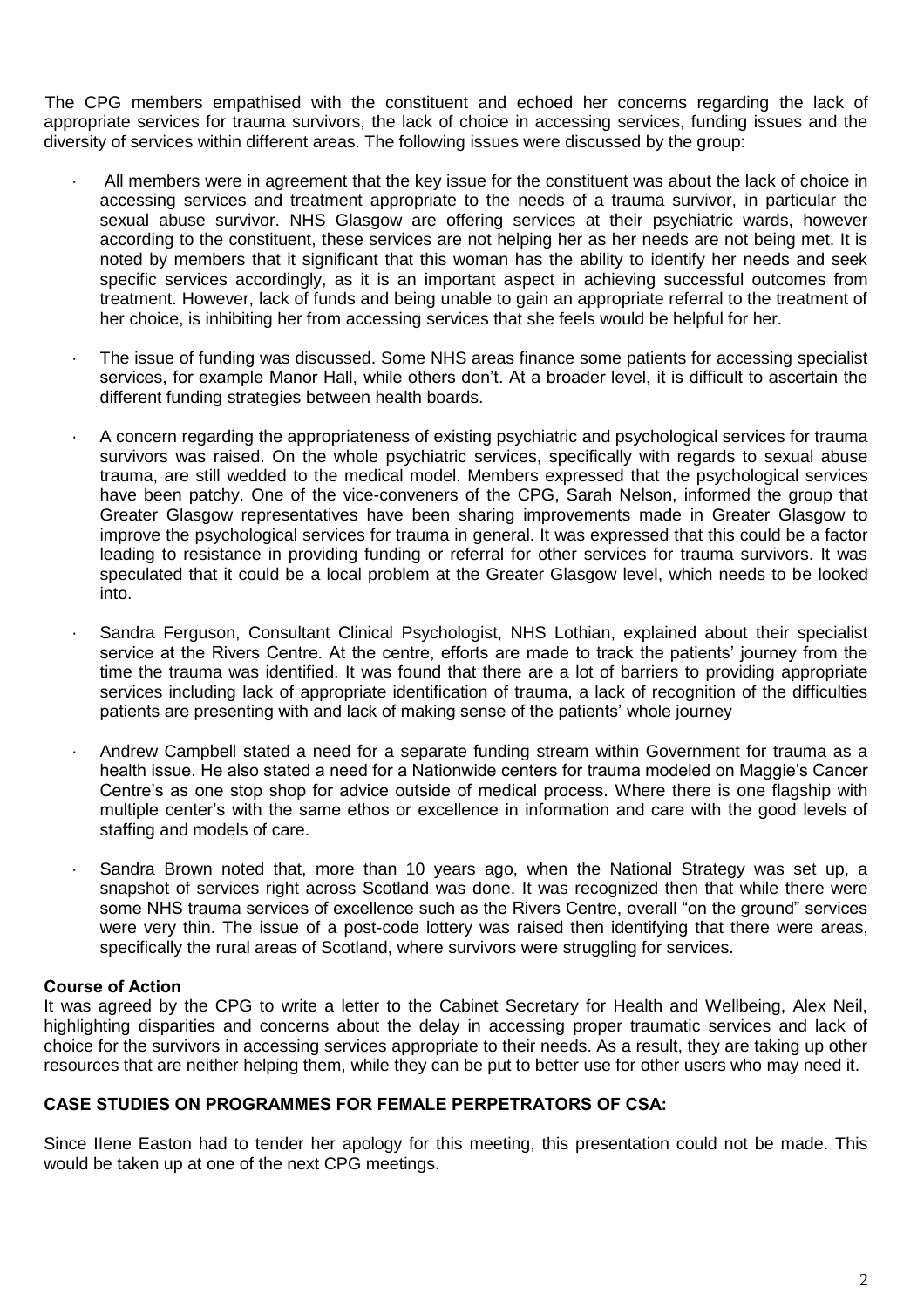The CPG members empathised with the constituent and echoed her concerns regarding the lack of appropriate services for trauma survivors, the lack of choice in accessing services, funding issues and the diversity of services within different areas. The following issues were discussed by the group:

- All members were in agreement that the key issue for the constituent was about the lack of choice in accessing services and treatment appropriate to the needs of a trauma survivor, in particular the sexual abuse survivor. NHS Glasgow are offering services at their psychiatric wards, however according to the constituent, these services are not helping her as her needs are not being met. It is noted by members that it significant that this woman has the ability to identify her needs and seek specific services accordingly, as it is an important aspect in achieving successful outcomes from treatment. However, lack of funds and being unable to gain an appropriate referral to the treatment of her choice, is inhibiting her from accessing services that she feels would be helpful for her.
- The issue of funding was discussed. Some NHS areas finance some patients for accessing specialist services, for example Manor Hall, while others don't. At a broader level, it is difficult to ascertain the different funding strategies between health boards.
- A concern regarding the appropriateness of existing psychiatric and psychological services for trauma survivors was raised. On the whole psychiatric services, specifically with regards to sexual abuse trauma, are still wedded to the medical model. Members expressed that the psychological services have been patchy. One of the vice-conveners of the CPG, Sarah Nelson, informed the group that Greater Glasgow representatives have been sharing improvements made in Greater Glasgow to improve the psychological services for trauma in general. It was expressed that this could be a factor leading to resistance in providing funding or referral for other services for trauma survivors. It was speculated that it could be a local problem at the Greater Glasgow level, which needs to be looked into.
- Sandra Ferguson, Consultant Clinical Psychologist, NHS Lothian, explained about their specialist service at the Rivers Centre. At the centre, efforts are made to track the patients' journey from the time the trauma was identified. It was found that there are a lot of barriers to providing appropriate services including lack of appropriate identification of trauma, a lack of recognition of the difficulties patients are presenting with and lack of making sense of the patients' whole journey
- · Andrew Campbell stated a need for a separate funding stream within Government for trauma as a health issue. He also stated a need for a Nationwide centers for trauma modeled on Maggie's Cancer Centre's as one stop shop for advice outside of medical process. Where there is one flagship with multiple center's with the same ethos or excellence in information and care with the good levels of staffing and models of care.
- Sandra Brown noted that, more than 10 years ago, when the National Strategy was set up, a snapshot of services right across Scotland was done. It was recognized then that while there were some NHS trauma services of excellence such as the Rivers Centre, overall "on the ground" services were very thin. The issue of a post-code lottery was raised then identifying that there were areas, specifically the rural areas of Scotland, where survivors were struggling for services.

### **Course of Action**

It was agreed by the CPG to write a letter to the Cabinet Secretary for Health and Wellbeing, Alex Neil, highlighting disparities and concerns about the delay in accessing proper traumatic services and lack of choice for the survivors in accessing services appropriate to their needs. As a result, they are taking up other resources that are neither helping them, while they can be put to better use for other users who may need it.

### **CASE STUDIES ON PROGRAMMES FOR FEMALE PERPETRATORS OF CSA:**

Since IIene Easton had to tender her apology for this meeting, this presentation could not be made. This would be taken up at one of the next CPG meetings.